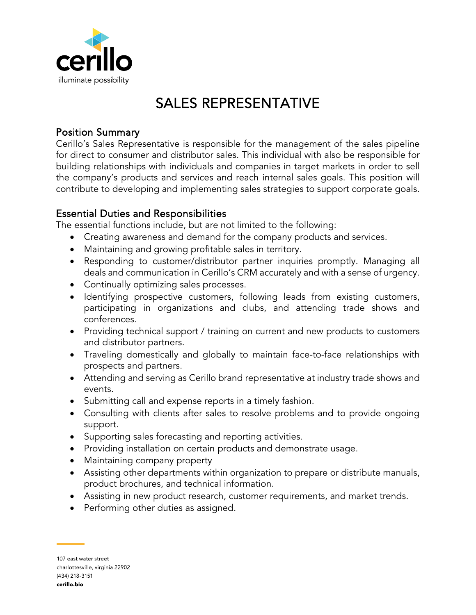

# SALES REPRESENTATIVE

## Position Summary

Cerillo's Sales Representative is responsible for the management of the sales pipeline for direct to consumer and distributor sales. This individual with also be responsible for building relationships with individuals and companies in target markets in order to sell the company's products and services and reach internal sales goals. This position will contribute to developing and implementing sales strategies to support corporate goals.

## Essential Duties and Responsibilities

The essential functions include, but are not limited to the following:

- Creating awareness and demand for the company products and services.
- Maintaining and growing profitable sales in territory.
- Responding to customer/distributor partner inquiries promptly. Managing all deals and communication in Cerillo's CRM accurately and with a sense of urgency.
- Continually optimizing sales processes.
- Identifying prospective customers, following leads from existing customers, participating in organizations and clubs, and attending trade shows and conferences.
- Providing technical support / training on current and new products to customers and distributor partners.
- Traveling domestically and globally to maintain face-to-face relationships with prospects and partners.
- Attending and serving as Cerillo brand representative at industry trade shows and events.
- Submitting call and expense reports in a timely fashion.
- Consulting with clients after sales to resolve problems and to provide ongoing support.
- Supporting sales forecasting and reporting activities.
- Providing installation on certain products and demonstrate usage.
- Maintaining company property
- Assisting other departments within organization to prepare or distribute manuals, product brochures, and technical information.
- Assisting in new product research, customer requirements, and market trends.
- Performing other duties as assigned.

107 east water street charlottesville, virginia 22902 (434) 218-3151 cerillo.bio